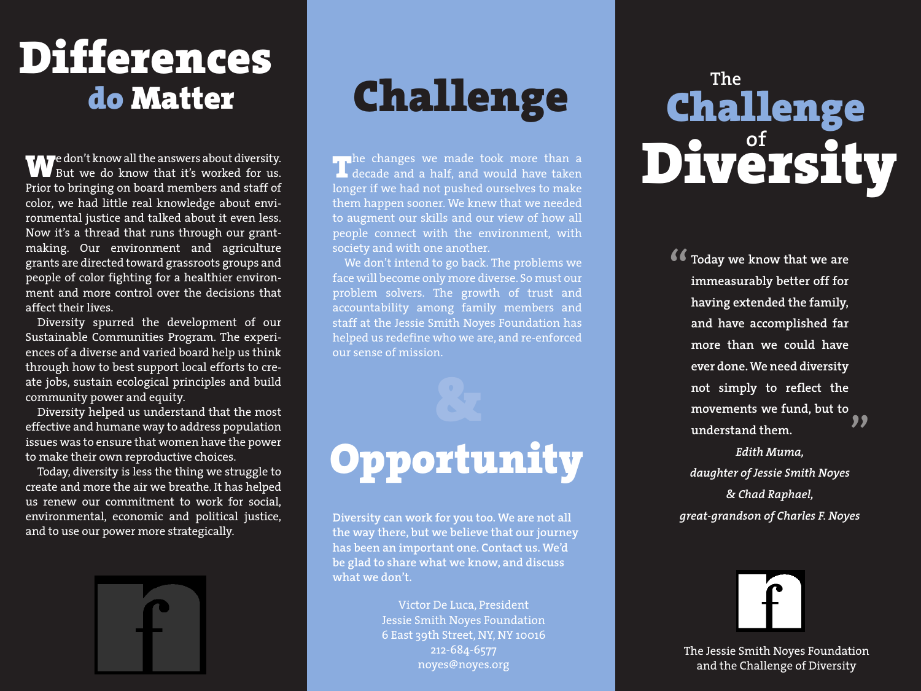# **Differences**

**W**e don't know all the answers about diversity. **W** But we do know that it's worked for us. Prior to bringing on board members and staff of color, we had little real knowledge about environmental justice and talked about it even less. Now it's a thread that runs through our grantmaking. Our environment and agriculture grants are directed toward grassroots groups and people of color fighting for a healthier environment and more control over the decisions that affect their lives.

Diversity spurred the development of our Sustainable Communities Program. The experiences of a diverse and varied board help us think through how to best support local efforts to create jobs, sustain ecological principles and build community power and equity.

Diversity helped us understand that the most effective and humane way to address population issues was to ensure that women have the power to make their own reproductive choices.

Today, diversity is less the thing we struggle to create and more the air we breathe. It has helped us renew our commitment to work for social, environmental, economic and political justice, and to use our power more strategically.



#### **do Matter Challenge**

**T**he changes we made took more than a<br>decade and a half, and would have taken longer if we had not pushed ourselves to make them happen sooner. We knew that we needed to augment our skills and our view of how all people connect with the environment, with society and with one another.

We don't intend to go back. The problems we face will become only more diverse. So must our problem solvers. The growth of trust and accountability among family members and staff at the Jessie Smith Noyes Foundation has helped us redefine who we are, and re-enforced our sense of mission.

### **Opportunity**

**Diversity can work for you too. We are not all the way there, but we believe that our journey has been an important one. Contact us. We'd be glad to share what we know, and discuss what we don't.**

> Victor De Luca, President Jessie Smith Noyes Foundation 6 East 39th Street, NY, NY 10016 212-684-6577 noyes@noyes.org

#### **The of Challenge Diversity**

**16 Today we know that we are<br>immeasurably better off for immeasurably better off for having extended the family, and have accomplished far more than we could have ever done. We need diversity not simply to reflect the movements we fund, but to understand them. "**

*Edith Muma, daughter of Jessie Smith Noyes & Chad Raphael, great-grandson of Charles F. Noyes*



The Jessie Smith Noyes Foundation and the Challenge of Diversity